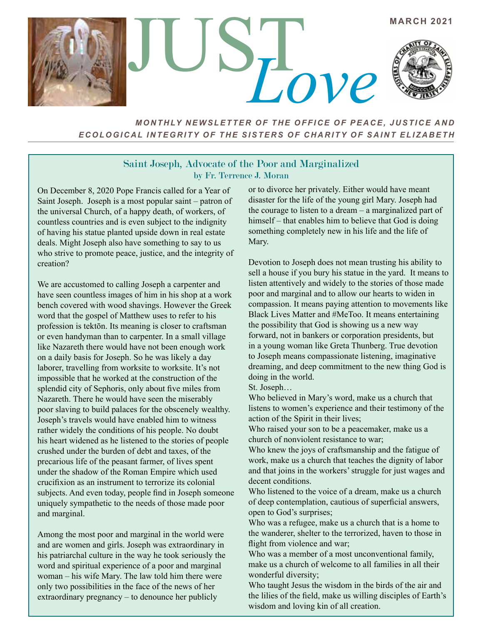

*MONTHLY NEWSLETTER OF THE OFFICE OF PEACE, JUSTICE AND ECOLOGICAL INTEGRITY OF THE SISTERS OF CHARITY OF SAINT ELIZABETH*

## Saint Joseph, Advocate of the Poor and Marginalized by Fr. Terrence J. Moran

On December 8, 2020 Pope Francis called for a Year of Saint Joseph. Joseph is a most popular saint – patron of the universal Church, of a happy death, of workers, of countless countries and is even subject to the indignity of having his statue planted upside down in real estate deals. Might Joseph also have something to say to us who strive to promote peace, justice, and the integrity of creation?

We are accustomed to calling Joseph a carpenter and have seen countless images of him in his shop at a work bench covered with wood shavings. However the Greek word that the gospel of Matthew uses to refer to his profession is tektōn. Its meaning is closer to craftsman or even handyman than to carpenter. In a small village like Nazareth there would have not been enough work on a daily basis for Joseph. So he was likely a day laborer, travelling from worksite to worksite. It's not impossible that he worked at the construction of the splendid city of Sephoris, only about five miles from Nazareth. There he would have seen the miserably poor slaving to build palaces for the obscenely wealthy. Joseph's travels would have enabled him to witness rather widely the conditions of his people. No doubt his heart widened as he listened to the stories of people crushed under the burden of debt and taxes, of the precarious life of the peasant farmer, of lives spent under the shadow of the Roman Empire which used crucifixion as an instrument to terrorize its colonial subjects. And even today, people find in Joseph someone uniquely sympathetic to the needs of those made poor and marginal.

Among the most poor and marginal in the world were and are women and girls. Joseph was extraordinary in his patriarchal culture in the way he took seriously the word and spiritual experience of a poor and marginal woman – his wife Mary. The law told him there were only two possibilities in the face of the news of her extraordinary pregnancy – to denounce her publicly

or to divorce her privately. Either would have meant disaster for the life of the young girl Mary. Joseph had the courage to listen to a dream – a marginalized part of himself – that enables him to believe that God is doing something completely new in his life and the life of Mary.

Devotion to Joseph does not mean trusting his ability to sell a house if you bury his statue in the yard. It means to listen attentively and widely to the stories of those made poor and marginal and to allow our hearts to widen in compassion. It means paying attention to movements like Black Lives Matter and #MeToo. It means entertaining the possibility that God is showing us a new way forward, not in bankers or corporation presidents, but in a young woman like Greta Thunberg. True devotion to Joseph means compassionate listening, imaginative dreaming, and deep commitment to the new thing God is doing in the world.

St. Joseph…

Who believed in Mary's word, make us a church that listens to women's experience and their testimony of the action of the Spirit in their lives;

Who raised your son to be a peacemaker, make us a church of nonviolent resistance to war;

Who knew the joys of craftsmanship and the fatigue of work, make us a church that teaches the dignity of labor and that joins in the workers' struggle for just wages and decent conditions.

Who listened to the voice of a dream, make us a church of deep contemplation, cautious of superficial answers, open to God's surprises;

Who was a refugee, make us a church that is a home to the wanderer, shelter to the terrorized, haven to those in flight from violence and war;

Who was a member of a most unconventional family, make us a church of welcome to all families in all their wonderful diversity;

Who taught Jesus the wisdom in the birds of the air and the lilies of the field, make us willing disciples of Earth's wisdom and loving kin of all creation.